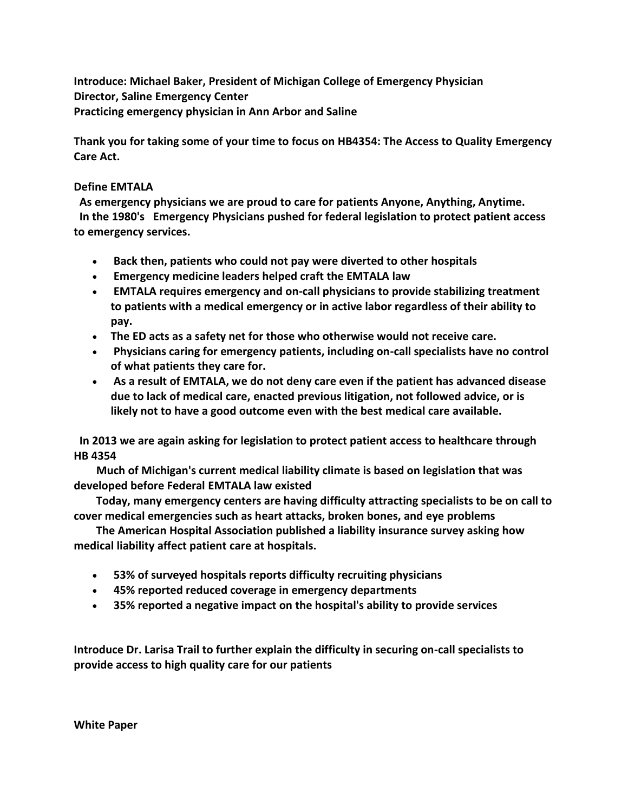**Introduce: Michael Baker, President of Michigan College of Emergency Physician Director, Saline Emergency Center Practicing emergency physician in Ann Arbor and Saline**

**Thank you for taking some of your time to focus on HB4354: The Access to Quality Emergency Care Act.**

## **Define EMTALA**

**As emergency physicians we are proud to care for patients Anyone, Anything, Anytime. In the 1980's Emergency Physicians pushed for federal legislation to protect patient access to emergency services.**

- **Back then, patients who could not pay were diverted to other hospitals**
- **Emergency medicine leaders helped craft the EMTALA law**
- **EMTALA requires emergency and on-call physicians to provide stabilizing treatment to patients with a medical emergency or in active labor regardless of their ability to pay.**
- **The ED acts as a safety net for those who otherwise would not receive care.**
- **Physicians caring for emergency patients, including on-call specialists have no control of what patients they care for.**
- **As a result of EMTALA, we do not deny care even if the patient has advanced disease due to lack of medical care, enacted previous litigation, not followed advice, or is likely not to have a good outcome even with the best medical care available.**

**In 2013 we are again asking for legislation to protect patient access to healthcare through HB 4354**

 **Much of Michigan's current medical liability climate is based on legislation that was developed before Federal EMTALA law existed**

 **Today, many emergency centers are having difficulty attracting specialists to be on call to cover medical emergencies such as heart attacks, broken bones, and eye problems** 

 **The American Hospital Association published a liability insurance survey asking how medical liability affect patient care at hospitals.**

- **53% of surveyed hospitals reports difficulty recruiting physicians**
- **45% reported reduced coverage in emergency departments**
- **35% reported a negative impact on the hospital's ability to provide services**

**Introduce Dr. Larisa Trail to further explain the difficulty in securing on-call specialists to provide access to high quality care for our patients**